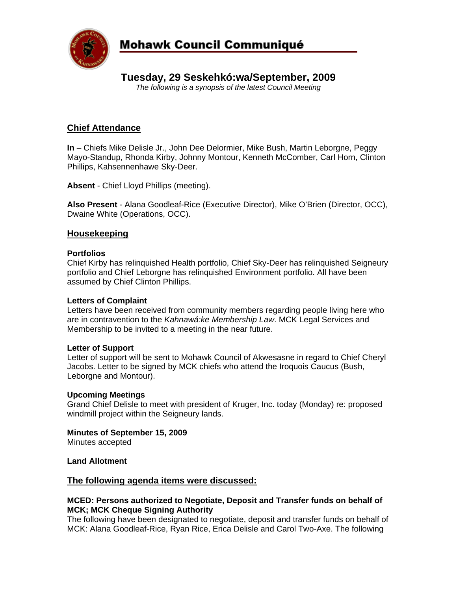

## **Mohawk Council Communiqué**

## **Tuesday, 29 Seskehkó:wa/September, 2009**

*The following is a synopsis of the latest Council Meeting* 

### **Chief Attendance**

**In** – Chiefs Mike Delisle Jr., John Dee Delormier, Mike Bush, Martin Leborgne, Peggy Mayo-Standup, Rhonda Kirby, Johnny Montour, Kenneth McComber, Carl Horn, Clinton Phillips, Kahsennenhawe Sky-Deer.

**Absent** - Chief Lloyd Phillips (meeting).

**Also Present** - Alana Goodleaf-Rice (Executive Director), Mike O'Brien (Director, OCC), Dwaine White (Operations, OCC).

### **Housekeeping**

#### **Portfolios**

Chief Kirby has relinquished Health portfolio, Chief Sky-Deer has relinquished Seigneury portfolio and Chief Leborgne has relinquished Environment portfolio. All have been assumed by Chief Clinton Phillips.

#### **Letters of Complaint**

Letters have been received from community members regarding people living here who are in contravention to the *Kahnawá:ke Membership Law*. MCK Legal Services and Membership to be invited to a meeting in the near future.

#### **Letter of Support**

Letter of support will be sent to Mohawk Council of Akwesasne in regard to Chief Cheryl Jacobs. Letter to be signed by MCK chiefs who attend the Iroquois Caucus (Bush, Leborgne and Montour).

#### **Upcoming Meetings**

Grand Chief Delisle to meet with president of Kruger, Inc. today (Monday) re: proposed windmill project within the Seigneury lands.

#### **Minutes of September 15, 2009**

Minutes accepted

#### **Land Allotment**

#### **The following agenda items were discussed:**

#### **MCED: Persons authorized to Negotiate, Deposit and Transfer funds on behalf of MCK; MCK Cheque Signing Authority**

The following have been designated to negotiate, deposit and transfer funds on behalf of MCK: Alana Goodleaf-Rice, Ryan Rice, Erica Delisle and Carol Two-Axe. The following